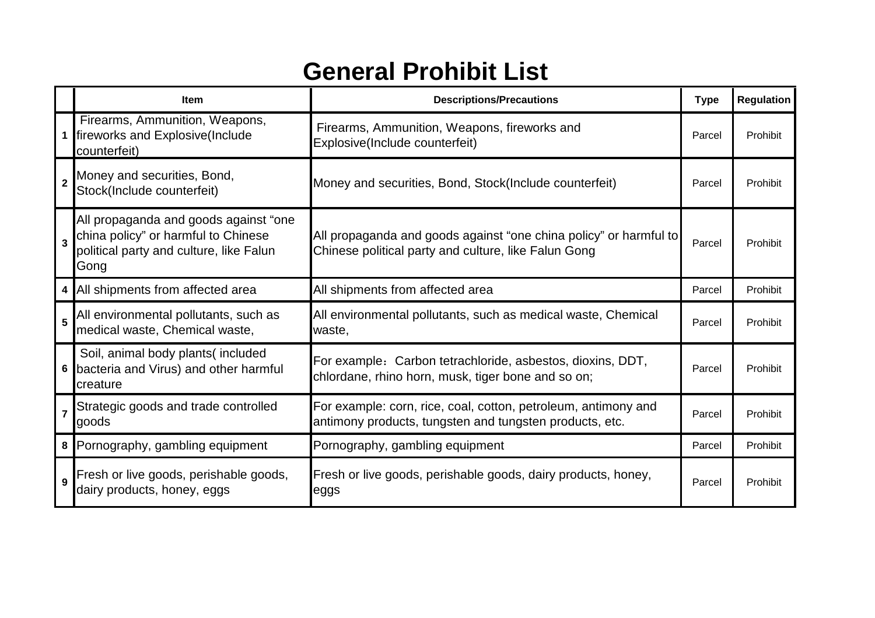## **General Prohibit List**

|                         | <b>Item</b>                                                                                                                     | <b>Descriptions/Precautions</b>                                                                                           | <b>Type</b> | <b>Regulation</b> |
|-------------------------|---------------------------------------------------------------------------------------------------------------------------------|---------------------------------------------------------------------------------------------------------------------------|-------------|-------------------|
|                         | Firearms, Ammunition, Weapons,<br>1 fireworks and Explosive(Include<br>counterfeit)                                             | Firearms, Ammunition, Weapons, fireworks and<br>Explosive(Include counterfeit)                                            | Parcel      | Prohibit          |
| $\overline{2}$          | Money and securities, Bond,<br>Stock(Include counterfeit)                                                                       | Money and securities, Bond, Stock(Include counterfeit)                                                                    | Parcel      | Prohibit          |
| $\overline{3}$          | All propaganda and goods against "one<br>china policy" or harmful to Chinese<br>political party and culture, like Falun<br>Gong | All propaganda and goods against "one china policy" or harmful to<br>Chinese political party and culture, like Falun Gong | Parcel      | Prohibit          |
| 4 <sup>1</sup>          | All shipments from affected area                                                                                                | All shipments from affected area                                                                                          | Parcel      | Prohibit          |
| 5                       | All environmental pollutants, such as<br>medical waste, Chemical waste,                                                         | All environmental pollutants, such as medical waste, Chemical<br>waste,                                                   | Parcel      | Prohibit          |
| 6                       | Soil, animal body plants(included<br>bacteria and Virus) and other harmful<br>creature                                          | For example: Carbon tetrachloride, asbestos, dioxins, DDT,<br>chlordane, rhino horn, musk, tiger bone and so on;          | Parcel      | Prohibit          |
| $\overline{\mathbf{z}}$ | Strategic goods and trade controlled<br>goods                                                                                   | For example: corn, rice, coal, cotton, petroleum, antimony and<br>antimony products, tungsten and tungsten products, etc. | Parcel      | Prohibit          |
|                         | 8 Pornography, gambling equipment                                                                                               | Pornography, gambling equipment                                                                                           | Parcel      | Prohibit          |
| 9                       | Fresh or live goods, perishable goods,<br>dairy products, honey, eggs                                                           | Fresh or live goods, perishable goods, dairy products, honey,<br>eggs                                                     | Parcel      | Prohibit          |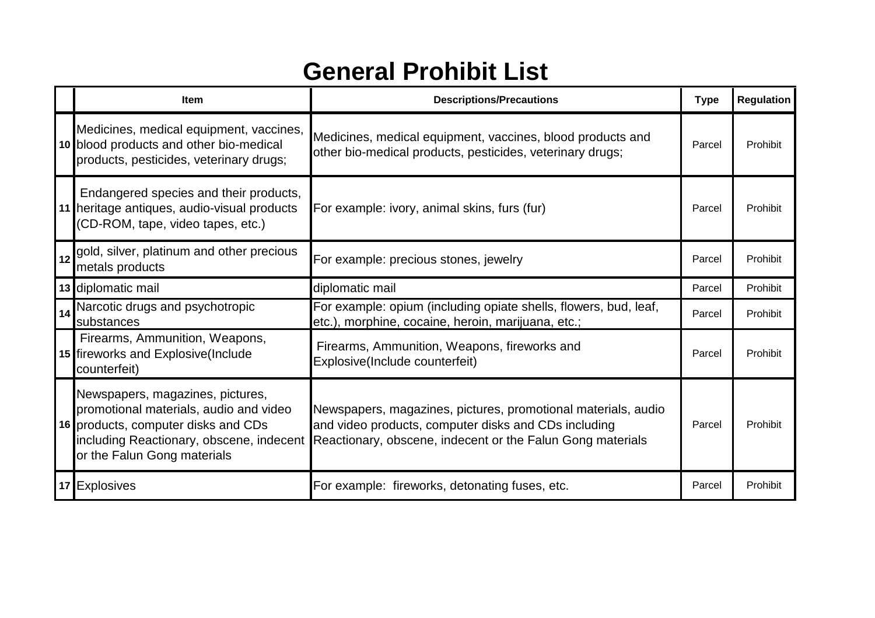## **General Prohibit List**

|    | <b>Item</b>                                                                                                                                                                                  | <b>Descriptions/Precautions</b>                                                                                                                                                     | <b>Type</b> | <b>Regulation</b> |
|----|----------------------------------------------------------------------------------------------------------------------------------------------------------------------------------------------|-------------------------------------------------------------------------------------------------------------------------------------------------------------------------------------|-------------|-------------------|
|    | Medicines, medical equipment, vaccines,<br>10 blood products and other bio-medical<br>products, pesticides, veterinary drugs;                                                                | Medicines, medical equipment, vaccines, blood products and<br>other bio-medical products, pesticides, veterinary drugs;                                                             | Parcel      | Prohibit          |
|    | Endangered species and their products,<br>11 heritage antiques, audio-visual products<br>(CD-ROM, tape, video tapes, etc.)                                                                   | For example: ivory, animal skins, furs (fur)                                                                                                                                        | Parcel      | Prohibit          |
|    | gold, silver, platinum and other precious<br>metals products                                                                                                                                 | For example: precious stones, jewelry                                                                                                                                               | Parcel      | Prohibit          |
|    | 13 diplomatic mail                                                                                                                                                                           | diplomatic mail                                                                                                                                                                     | Parcel      | Prohibit          |
| 14 | Narcotic drugs and psychotropic<br>substances                                                                                                                                                | For example: opium (including opiate shells, flowers, bud, leaf,<br>etc.), morphine, cocaine, heroin, marijuana, etc.;                                                              | Parcel      | Prohibit          |
|    | Firearms, Ammunition, Weapons,<br>15 fireworks and Explosive (Include<br>counterfeit)                                                                                                        | Firearms, Ammunition, Weapons, fireworks and<br>Explosive(Include counterfeit)                                                                                                      | Parcel      | Prohibit          |
|    | Newspapers, magazines, pictures,<br>promotional materials, audio and video<br>16 products, computer disks and CDs<br>including Reactionary, obscene, indecent<br>or the Falun Gong materials | Newspapers, magazines, pictures, promotional materials, audio<br>and video products, computer disks and CDs including<br>Reactionary, obscene, indecent or the Falun Gong materials | Parcel      | Prohibit          |
| 17 | <b>Explosives</b>                                                                                                                                                                            | For example: fireworks, detonating fuses, etc.                                                                                                                                      | Parcel      | Prohibit          |